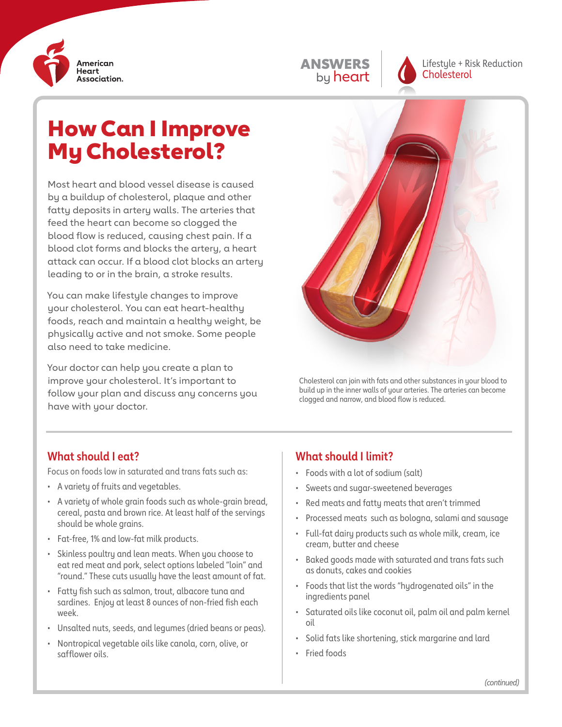

| <b>ANSWERS</b> |
|----------------|
| by heart       |

Lifestyle + Risk Reduction **Cholesterol** 

# How Can I Improve My Cholesterol?

Most heart and blood vessel disease is caused by a buildup of cholesterol, plaque and other fatty deposits in artery walls. The arteries that feed the heart can become so clogged the blood flow is reduced, causing chest pain. If a blood clot forms and blocks the artery, a heart attack can occur. If a blood clot blocks an artery leading to or in the brain, a stroke results.

You can make lifestyle changes to improve your cholesterol. You can eat heart-healthy foods, reach and maintain a healthy weight, be physically active and not smoke. Some people also need to take medicine.

Your doctor can help you create a plan to improve your cholesterol. It's important to follow your plan and discuss any concerns you have with your doctor.



Cholesterol can join with fats and other substances in your blood to build up in the inner walls of your arteries. The arteries can become clogged and narrow, and blood flow is reduced.

#### **What should I eat?**

Focus on foods low in saturated and trans fats such as:

- A variety of fruits and vegetables.
- A variety of whole grain foods such as whole-grain bread, cereal, pasta and brown rice. At least half of the servings should be whole grains.
- Fat-free, 1% and low-fat milk products.
- Skinless poultry and lean meats. When you choose to eat red meat and pork, select options labeled "loin" and "round." These cuts usually have the least amount of fat.
- Fatty fish such as salmon, trout, albacore tuna and sardines. Enjoy at least 8 ounces of non-fried fish each week.
- Unsalted nuts, seeds, and legumes (dried beans or peas).
- Nontropical vegetable oils like canola, corn, olive, or safflower oils.

#### **What should I limit?**

- Foods with a lot of sodium (salt)
- Sweets and sugar-sweetened beverages
- Red meats and fatty meats that aren't trimmed
- Processed meats such as bologna, salami and sausage
- Full-fat dairy products such as whole milk, cream, ice cream, butter and cheese
- Baked goods made with saturated and trans fats such as donuts, cakes and cookies
- Foods that list the words "hydrogenated oils" in the ingredients panel
- Saturated oils like coconut oil, palm oil and palm kernel oil
- Solid fats like shortening, stick margarine and lard
- Fried foods